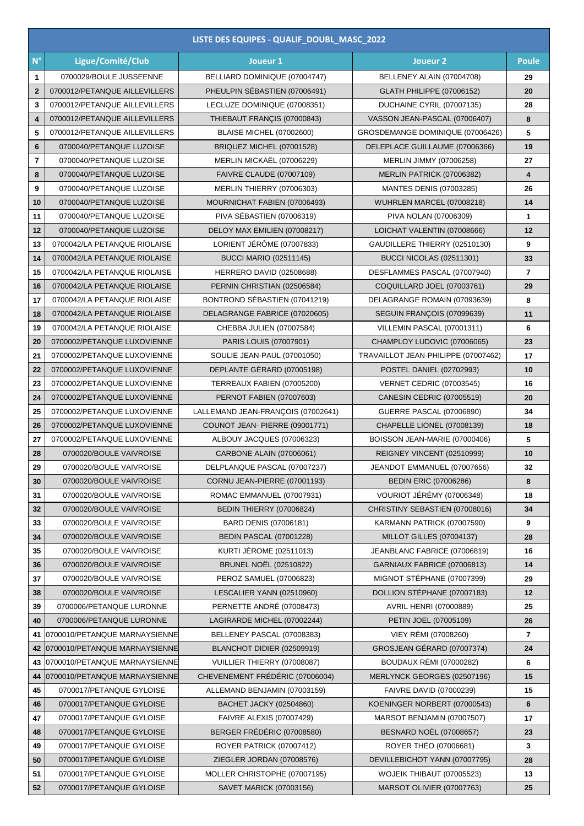| $N^{\circ}$<br>Ligue/Comité/Club<br>Joueur 1<br>Joueur <sub>2</sub><br><b>Poule</b><br>0700029/BOULE JUSSEENNE<br>BELLIARD DOMINIQUE (07004747)<br>BELLENEY ALAIN (07004708)<br>1<br>29<br>PHEULPIN SÉBASTIEN (07006491)<br>0700012/PETANQUE AILLEVILLERS<br>$\mathbf{2}$<br><b>GLATH PHILIPPE (07006152)</b><br>20<br>0700012/PETANQUE AILLEVILLERS<br>LECLUZE DOMINIQUE (07008351)<br>DUCHAINE CYRIL (07007135)<br>3<br>28<br>$\overline{4}$<br>0700012/PETANQUE AILLEVILLERS<br>THIEBAUT FRANÇIS (07000843)<br>VASSON JEAN-PASCAL (07006407)<br>8<br>0700012/PETANQUE AILLEVILLERS<br>5<br><b>BLAISE MICHEL (07002600)</b><br>GROSDEMANGE DOMINIQUE (07006426)<br>5<br>$6\phantom{1}6$<br>19<br>0700040/PETANQUE LUZOISE<br>BRIQUEZ MICHEL (07001528)<br>DELEPLACE GUILLAUME (07006366)<br>$\overline{\phantom{a}}$<br>MERLIN MICKAËL (07006229)<br>0700040/PETANQUE LUZOISE<br>MERLIN JIMMY (07006258)<br>27<br>8<br>0700040/PETANQUE LUZOISE<br><b>FAIVRE CLAUDE (07007109)</b><br>MERLIN PATRICK (07006382)<br>4<br>9<br>0700040/PETANQUE LUZOISE<br>MERLIN THIERRY (07006303)<br><b>MANTES DENIS (07003285)</b><br>26<br>MOURNICHAT FABIEN (07006493)<br>10<br>0700040/PETANQUE LUZOISE<br>WUHRLEN MARCEL (07008218)<br>14<br>PIVA SÉBASTIEN (07006319)<br>0700040/PETANQUE LUZOISE<br>PIVA NOLAN (07006309)<br>11<br>1<br>0700040/PETANQUE LUZOISE<br>DELOY MAX EMILIEN (07008217)<br>LOICHAT VALENTIN (07008666)<br>12<br>12<br>LORIENT JÉRÔME (07007833)<br>0700042/LA PETANQUE RIOLAISE<br>GAUDILLERE THIERRY (02510130)<br>9<br>13<br><b>BUCCI MARIO (02511145)</b><br>BUCCI NICOLAS (02511301)<br>0700042/LA PETANQUE RIOLAISE<br>33<br>14<br>15<br>0700042/LA PETANQUE RIOLAISE<br>HERRERO DAVID (02508688)<br>DESFLAMMES PASCAL (07007940)<br>$\overline{7}$<br>29<br>16<br>0700042/LA PETANQUE RIOLAISE<br>PERNIN CHRISTIAN (02506584)<br>COQUILLARD JOEL (07003761)<br>BONTROND SÉBASTIEN (07041219)<br>17<br>0700042/LA PETANQUE RIOLAISE<br>DELAGRANGE ROMAIN (07093639)<br>8<br>18<br>DELAGRANGE FABRICE (07020605)<br>SEGUIN FRANÇOIS (07099639)<br>11<br>0700042/LA PETANQUE RIOLAISE<br>0700042/LA PETANQUE RIOLAISE<br>CHEBBA JULIEN (07007584)<br>VILLEMIN PASCAL (07001311)<br>6<br>19<br>0700002/PETANQUE LUXOVIENNE<br>PARIS LOUIS (07007901)<br>CHAMPLOY LUDOVIC (07006065)<br>20<br>23<br>0700002/PETANQUE LUXOVIENNE<br>SOULIE JEAN-PAUL (07001050)<br>TRAVAILLOT JEAN-PHILIPPE (07007462)<br>21<br>17<br>DEPLANTE GÉRARD (07005198)<br>22<br>0700002/PETANQUE LUXOVIENNE<br><b>POSTEL DANIEL (02702993)</b><br>10<br>23<br>0700002/PETANQUE LUXOVIENNE<br>TERREAUX FABIEN (07005200)<br><b>VERNET CEDRIC (07003545)</b><br>16<br>24<br>0700002/PETANQUE LUXOVIENNE<br>PERNOT FABIEN (07007603)<br>CANESIN CEDRIC (07005519)<br>20<br>25<br>0700002/PETANQUE LUXOVIENNE<br>LALLEMAND JEAN-FRANÇOIS (07002641)<br>GUERRE PASCAL (07006890)<br>34<br>26<br>0700002/PETANQUE LUXOVIENNE<br>COUNOT JEAN- PIERRE (09001771)<br>CHAPELLE LIONEL (07008139)<br>18<br>ALBOUY JACQUES (07006323)<br>5<br>27<br>0700002/PETANQUE LUXOVIENNE<br>BOISSON JEAN-MARIE (07000406)<br>0700020/BOULE VAIVROISE<br>CARBONE ALAIN (07006061)<br>REIGNEY VINCENT (02510999)<br>10<br>28<br>29<br>0700020/BOULE VAIVROISE<br>DELPLANQUE PASCAL (07007237)<br>JEANDOT EMMANUEL (07007656)<br>32<br><b>BEDIN ERIC (07006286)</b><br>30<br>0700020/BOULE VAIVROISE<br>CORNU JEAN-PIERRE (07001193)<br>8<br>VOURIOT JÉRÉMY (07006348)<br>0700020/BOULE VAIVROISE<br>ROMAC EMMANUEL (07007931)<br>31<br>18<br>0700020/BOULE VAIVROISE<br>BEDIN THIERRY (07006824)<br>CHRISTINY SEBASTIEN (07008016)<br>34<br>32<br>33<br>0700020/BOULE VAIVROISE<br>BARD DENIS (07006181)<br>KARMANN PATRICK (07007590)<br>9<br><b>BEDIN PASCAL (07001228)</b><br>MILLOT GILLES (07004137)<br>34<br>0700020/BOULE VAIVROISE<br>28<br><b>KURTI JÉROME (02511013)</b><br>JEANBLANC FABRICE (07006819)<br>35<br>0700020/BOULE VAIVROISE<br>16<br><b>BRUNEL NOËL (02510822)</b><br>0700020/BOULE VAIVROISE<br>GARNIAUX FABRICE (07006813)<br>36<br>14<br>PEROZ SAMUEL (07006823)<br>MIGNOT STÉPHANE (07007399)<br>37<br>0700020/BOULE VAIVROISE<br>29<br>DOLLION STÉPHANE (07007183)<br>0700020/BOULE VAIVROISE<br>LESCALIER YANN (02510960)<br>38<br>12<br>PERNETTE ANDRÉ (07008473)<br>AVRIL HENRI (07000889)<br>0700006/PETANQUE LURONNE<br>25<br>39<br>LAGIRARDE MICHEL (07002244)<br>PETIN JOEL (07005109)<br>40<br>0700006/PETANQUE LURONNE<br>26<br>VIEY RÉMI (07008260)<br>BELLENEY PASCAL (07008383)<br>$\overline{7}$<br>0700010/PETANQUE MARNAYSIENNE<br>41<br>GROSJEAN GÉRARD (07007374)<br>0700010/PETANQUE MARNAYSIENNE<br>BLANCHOT DIDIER (02509919)<br>24<br>42<br><b>BOUDAUX RÉMI (07000282)</b><br>0700010/PETANQUE MARNAYSIENNE<br>VUILLIER THIERRY (07008087)<br>43<br>6<br>CHEVENEMENT FRÉDÉRIC (07006004)<br>MERLYNCK GEORGES (02507196)<br>0700010/PETANQUE MARNAYSIENNE<br>15<br>44<br>0700017/PETANQUE GYLOISE<br>ALLEMAND BENJAMIN (07003159)<br>FAIVRE DAVID (07000239)<br>45<br>15<br>BACHET JACKY (02504860)<br>0700017/PETANQUE GYLOISE<br>KOENINGER NORBERT (07000543)<br>6<br>46<br>0700017/PETANQUE GYLOISE<br><b>FAIVRE ALEXIS (07007429)</b><br>MARSOT BENJAMIN (07007507)<br>47<br>17<br>BERGER FRÉDÉRIC (07008580)<br>48<br><b>BESNARD NOËL (07008657)</b><br>0700017/PETANQUE GYLOISE<br>23 | LISTE DES EQUIPES - QUALIF_DOUBL_MASC_2022 |  |  |  |  |  |  |  |
|--------------------------------------------------------------------------------------------------------------------------------------------------------------------------------------------------------------------------------------------------------------------------------------------------------------------------------------------------------------------------------------------------------------------------------------------------------------------------------------------------------------------------------------------------------------------------------------------------------------------------------------------------------------------------------------------------------------------------------------------------------------------------------------------------------------------------------------------------------------------------------------------------------------------------------------------------------------------------------------------------------------------------------------------------------------------------------------------------------------------------------------------------------------------------------------------------------------------------------------------------------------------------------------------------------------------------------------------------------------------------------------------------------------------------------------------------------------------------------------------------------------------------------------------------------------------------------------------------------------------------------------------------------------------------------------------------------------------------------------------------------------------------------------------------------------------------------------------------------------------------------------------------------------------------------------------------------------------------------------------------------------------------------------------------------------------------------------------------------------------------------------------------------------------------------------------------------------------------------------------------------------------------------------------------------------------------------------------------------------------------------------------------------------------------------------------------------------------------------------------------------------------------------------------------------------------------------------------------------------------------------------------------------------------------------------------------------------------------------------------------------------------------------------------------------------------------------------------------------------------------------------------------------------------------------------------------------------------------------------------------------------------------------------------------------------------------------------------------------------------------------------------------------------------------------------------------------------------------------------------------------------------------------------------------------------------------------------------------------------------------------------------------------------------------------------------------------------------------------------------------------------------------------------------------------------------------------------------------------------------------------------------------------------------------------------------------------------------------------------------------------------------------------------------------------------------------------------------------------------------------------------------------------------------------------------------------------------------------------------------------------------------------------------------------------------------------------------------------------------------------------------------------------------------------------------------------------------------------------------------------------------------------------------------------------------------------------------------------------------------------------------------------------------------------------------------------------------------------------------------------------------------------------------------------------------------------------------------------------------------------------------------------------------------------------------------------------------------------------------------------------------------------------------------------------------------------------------------------------------------------------------------------------------------------------------------------------------------------------------------------------------------------------------------------------------------------------------------------------------------------------------------------------------------------------------------------------------------------------------------------------------------------------------------------------------------|--------------------------------------------|--|--|--|--|--|--|--|
|                                                                                                                                                                                                                                                                                                                                                                                                                                                                                                                                                                                                                                                                                                                                                                                                                                                                                                                                                                                                                                                                                                                                                                                                                                                                                                                                                                                                                                                                                                                                                                                                                                                                                                                                                                                                                                                                                                                                                                                                                                                                                                                                                                                                                                                                                                                                                                                                                                                                                                                                                                                                                                                                                                                                                                                                                                                                                                                                                                                                                                                                                                                                                                                                                                                                                                                                                                                                                                                                                                                                                                                                                                                                                                                                                                                                                                                                                                                                                                                                                                                                                                                                                                                                                                                                                                                                                                                                                                                                                                                                                                                                                                                                                                                                                                                                                                                                                                                                                                                                                                                                                                                                                                                                                                                                                                                    |                                            |  |  |  |  |  |  |  |
|                                                                                                                                                                                                                                                                                                                                                                                                                                                                                                                                                                                                                                                                                                                                                                                                                                                                                                                                                                                                                                                                                                                                                                                                                                                                                                                                                                                                                                                                                                                                                                                                                                                                                                                                                                                                                                                                                                                                                                                                                                                                                                                                                                                                                                                                                                                                                                                                                                                                                                                                                                                                                                                                                                                                                                                                                                                                                                                                                                                                                                                                                                                                                                                                                                                                                                                                                                                                                                                                                                                                                                                                                                                                                                                                                                                                                                                                                                                                                                                                                                                                                                                                                                                                                                                                                                                                                                                                                                                                                                                                                                                                                                                                                                                                                                                                                                                                                                                                                                                                                                                                                                                                                                                                                                                                                                                    |                                            |  |  |  |  |  |  |  |
|                                                                                                                                                                                                                                                                                                                                                                                                                                                                                                                                                                                                                                                                                                                                                                                                                                                                                                                                                                                                                                                                                                                                                                                                                                                                                                                                                                                                                                                                                                                                                                                                                                                                                                                                                                                                                                                                                                                                                                                                                                                                                                                                                                                                                                                                                                                                                                                                                                                                                                                                                                                                                                                                                                                                                                                                                                                                                                                                                                                                                                                                                                                                                                                                                                                                                                                                                                                                                                                                                                                                                                                                                                                                                                                                                                                                                                                                                                                                                                                                                                                                                                                                                                                                                                                                                                                                                                                                                                                                                                                                                                                                                                                                                                                                                                                                                                                                                                                                                                                                                                                                                                                                                                                                                                                                                                                    |                                            |  |  |  |  |  |  |  |
|                                                                                                                                                                                                                                                                                                                                                                                                                                                                                                                                                                                                                                                                                                                                                                                                                                                                                                                                                                                                                                                                                                                                                                                                                                                                                                                                                                                                                                                                                                                                                                                                                                                                                                                                                                                                                                                                                                                                                                                                                                                                                                                                                                                                                                                                                                                                                                                                                                                                                                                                                                                                                                                                                                                                                                                                                                                                                                                                                                                                                                                                                                                                                                                                                                                                                                                                                                                                                                                                                                                                                                                                                                                                                                                                                                                                                                                                                                                                                                                                                                                                                                                                                                                                                                                                                                                                                                                                                                                                                                                                                                                                                                                                                                                                                                                                                                                                                                                                                                                                                                                                                                                                                                                                                                                                                                                    |                                            |  |  |  |  |  |  |  |
|                                                                                                                                                                                                                                                                                                                                                                                                                                                                                                                                                                                                                                                                                                                                                                                                                                                                                                                                                                                                                                                                                                                                                                                                                                                                                                                                                                                                                                                                                                                                                                                                                                                                                                                                                                                                                                                                                                                                                                                                                                                                                                                                                                                                                                                                                                                                                                                                                                                                                                                                                                                                                                                                                                                                                                                                                                                                                                                                                                                                                                                                                                                                                                                                                                                                                                                                                                                                                                                                                                                                                                                                                                                                                                                                                                                                                                                                                                                                                                                                                                                                                                                                                                                                                                                                                                                                                                                                                                                                                                                                                                                                                                                                                                                                                                                                                                                                                                                                                                                                                                                                                                                                                                                                                                                                                                                    |                                            |  |  |  |  |  |  |  |
|                                                                                                                                                                                                                                                                                                                                                                                                                                                                                                                                                                                                                                                                                                                                                                                                                                                                                                                                                                                                                                                                                                                                                                                                                                                                                                                                                                                                                                                                                                                                                                                                                                                                                                                                                                                                                                                                                                                                                                                                                                                                                                                                                                                                                                                                                                                                                                                                                                                                                                                                                                                                                                                                                                                                                                                                                                                                                                                                                                                                                                                                                                                                                                                                                                                                                                                                                                                                                                                                                                                                                                                                                                                                                                                                                                                                                                                                                                                                                                                                                                                                                                                                                                                                                                                                                                                                                                                                                                                                                                                                                                                                                                                                                                                                                                                                                                                                                                                                                                                                                                                                                                                                                                                                                                                                                                                    |                                            |  |  |  |  |  |  |  |
|                                                                                                                                                                                                                                                                                                                                                                                                                                                                                                                                                                                                                                                                                                                                                                                                                                                                                                                                                                                                                                                                                                                                                                                                                                                                                                                                                                                                                                                                                                                                                                                                                                                                                                                                                                                                                                                                                                                                                                                                                                                                                                                                                                                                                                                                                                                                                                                                                                                                                                                                                                                                                                                                                                                                                                                                                                                                                                                                                                                                                                                                                                                                                                                                                                                                                                                                                                                                                                                                                                                                                                                                                                                                                                                                                                                                                                                                                                                                                                                                                                                                                                                                                                                                                                                                                                                                                                                                                                                                                                                                                                                                                                                                                                                                                                                                                                                                                                                                                                                                                                                                                                                                                                                                                                                                                                                    |                                            |  |  |  |  |  |  |  |
|                                                                                                                                                                                                                                                                                                                                                                                                                                                                                                                                                                                                                                                                                                                                                                                                                                                                                                                                                                                                                                                                                                                                                                                                                                                                                                                                                                                                                                                                                                                                                                                                                                                                                                                                                                                                                                                                                                                                                                                                                                                                                                                                                                                                                                                                                                                                                                                                                                                                                                                                                                                                                                                                                                                                                                                                                                                                                                                                                                                                                                                                                                                                                                                                                                                                                                                                                                                                                                                                                                                                                                                                                                                                                                                                                                                                                                                                                                                                                                                                                                                                                                                                                                                                                                                                                                                                                                                                                                                                                                                                                                                                                                                                                                                                                                                                                                                                                                                                                                                                                                                                                                                                                                                                                                                                                                                    |                                            |  |  |  |  |  |  |  |
|                                                                                                                                                                                                                                                                                                                                                                                                                                                                                                                                                                                                                                                                                                                                                                                                                                                                                                                                                                                                                                                                                                                                                                                                                                                                                                                                                                                                                                                                                                                                                                                                                                                                                                                                                                                                                                                                                                                                                                                                                                                                                                                                                                                                                                                                                                                                                                                                                                                                                                                                                                                                                                                                                                                                                                                                                                                                                                                                                                                                                                                                                                                                                                                                                                                                                                                                                                                                                                                                                                                                                                                                                                                                                                                                                                                                                                                                                                                                                                                                                                                                                                                                                                                                                                                                                                                                                                                                                                                                                                                                                                                                                                                                                                                                                                                                                                                                                                                                                                                                                                                                                                                                                                                                                                                                                                                    |                                            |  |  |  |  |  |  |  |
|                                                                                                                                                                                                                                                                                                                                                                                                                                                                                                                                                                                                                                                                                                                                                                                                                                                                                                                                                                                                                                                                                                                                                                                                                                                                                                                                                                                                                                                                                                                                                                                                                                                                                                                                                                                                                                                                                                                                                                                                                                                                                                                                                                                                                                                                                                                                                                                                                                                                                                                                                                                                                                                                                                                                                                                                                                                                                                                                                                                                                                                                                                                                                                                                                                                                                                                                                                                                                                                                                                                                                                                                                                                                                                                                                                                                                                                                                                                                                                                                                                                                                                                                                                                                                                                                                                                                                                                                                                                                                                                                                                                                                                                                                                                                                                                                                                                                                                                                                                                                                                                                                                                                                                                                                                                                                                                    |                                            |  |  |  |  |  |  |  |
|                                                                                                                                                                                                                                                                                                                                                                                                                                                                                                                                                                                                                                                                                                                                                                                                                                                                                                                                                                                                                                                                                                                                                                                                                                                                                                                                                                                                                                                                                                                                                                                                                                                                                                                                                                                                                                                                                                                                                                                                                                                                                                                                                                                                                                                                                                                                                                                                                                                                                                                                                                                                                                                                                                                                                                                                                                                                                                                                                                                                                                                                                                                                                                                                                                                                                                                                                                                                                                                                                                                                                                                                                                                                                                                                                                                                                                                                                                                                                                                                                                                                                                                                                                                                                                                                                                                                                                                                                                                                                                                                                                                                                                                                                                                                                                                                                                                                                                                                                                                                                                                                                                                                                                                                                                                                                                                    |                                            |  |  |  |  |  |  |  |
|                                                                                                                                                                                                                                                                                                                                                                                                                                                                                                                                                                                                                                                                                                                                                                                                                                                                                                                                                                                                                                                                                                                                                                                                                                                                                                                                                                                                                                                                                                                                                                                                                                                                                                                                                                                                                                                                                                                                                                                                                                                                                                                                                                                                                                                                                                                                                                                                                                                                                                                                                                                                                                                                                                                                                                                                                                                                                                                                                                                                                                                                                                                                                                                                                                                                                                                                                                                                                                                                                                                                                                                                                                                                                                                                                                                                                                                                                                                                                                                                                                                                                                                                                                                                                                                                                                                                                                                                                                                                                                                                                                                                                                                                                                                                                                                                                                                                                                                                                                                                                                                                                                                                                                                                                                                                                                                    |                                            |  |  |  |  |  |  |  |
|                                                                                                                                                                                                                                                                                                                                                                                                                                                                                                                                                                                                                                                                                                                                                                                                                                                                                                                                                                                                                                                                                                                                                                                                                                                                                                                                                                                                                                                                                                                                                                                                                                                                                                                                                                                                                                                                                                                                                                                                                                                                                                                                                                                                                                                                                                                                                                                                                                                                                                                                                                                                                                                                                                                                                                                                                                                                                                                                                                                                                                                                                                                                                                                                                                                                                                                                                                                                                                                                                                                                                                                                                                                                                                                                                                                                                                                                                                                                                                                                                                                                                                                                                                                                                                                                                                                                                                                                                                                                                                                                                                                                                                                                                                                                                                                                                                                                                                                                                                                                                                                                                                                                                                                                                                                                                                                    |                                            |  |  |  |  |  |  |  |
|                                                                                                                                                                                                                                                                                                                                                                                                                                                                                                                                                                                                                                                                                                                                                                                                                                                                                                                                                                                                                                                                                                                                                                                                                                                                                                                                                                                                                                                                                                                                                                                                                                                                                                                                                                                                                                                                                                                                                                                                                                                                                                                                                                                                                                                                                                                                                                                                                                                                                                                                                                                                                                                                                                                                                                                                                                                                                                                                                                                                                                                                                                                                                                                                                                                                                                                                                                                                                                                                                                                                                                                                                                                                                                                                                                                                                                                                                                                                                                                                                                                                                                                                                                                                                                                                                                                                                                                                                                                                                                                                                                                                                                                                                                                                                                                                                                                                                                                                                                                                                                                                                                                                                                                                                                                                                                                    |                                            |  |  |  |  |  |  |  |
|                                                                                                                                                                                                                                                                                                                                                                                                                                                                                                                                                                                                                                                                                                                                                                                                                                                                                                                                                                                                                                                                                                                                                                                                                                                                                                                                                                                                                                                                                                                                                                                                                                                                                                                                                                                                                                                                                                                                                                                                                                                                                                                                                                                                                                                                                                                                                                                                                                                                                                                                                                                                                                                                                                                                                                                                                                                                                                                                                                                                                                                                                                                                                                                                                                                                                                                                                                                                                                                                                                                                                                                                                                                                                                                                                                                                                                                                                                                                                                                                                                                                                                                                                                                                                                                                                                                                                                                                                                                                                                                                                                                                                                                                                                                                                                                                                                                                                                                                                                                                                                                                                                                                                                                                                                                                                                                    |                                            |  |  |  |  |  |  |  |
|                                                                                                                                                                                                                                                                                                                                                                                                                                                                                                                                                                                                                                                                                                                                                                                                                                                                                                                                                                                                                                                                                                                                                                                                                                                                                                                                                                                                                                                                                                                                                                                                                                                                                                                                                                                                                                                                                                                                                                                                                                                                                                                                                                                                                                                                                                                                                                                                                                                                                                                                                                                                                                                                                                                                                                                                                                                                                                                                                                                                                                                                                                                                                                                                                                                                                                                                                                                                                                                                                                                                                                                                                                                                                                                                                                                                                                                                                                                                                                                                                                                                                                                                                                                                                                                                                                                                                                                                                                                                                                                                                                                                                                                                                                                                                                                                                                                                                                                                                                                                                                                                                                                                                                                                                                                                                                                    |                                            |  |  |  |  |  |  |  |
|                                                                                                                                                                                                                                                                                                                                                                                                                                                                                                                                                                                                                                                                                                                                                                                                                                                                                                                                                                                                                                                                                                                                                                                                                                                                                                                                                                                                                                                                                                                                                                                                                                                                                                                                                                                                                                                                                                                                                                                                                                                                                                                                                                                                                                                                                                                                                                                                                                                                                                                                                                                                                                                                                                                                                                                                                                                                                                                                                                                                                                                                                                                                                                                                                                                                                                                                                                                                                                                                                                                                                                                                                                                                                                                                                                                                                                                                                                                                                                                                                                                                                                                                                                                                                                                                                                                                                                                                                                                                                                                                                                                                                                                                                                                                                                                                                                                                                                                                                                                                                                                                                                                                                                                                                                                                                                                    |                                            |  |  |  |  |  |  |  |
|                                                                                                                                                                                                                                                                                                                                                                                                                                                                                                                                                                                                                                                                                                                                                                                                                                                                                                                                                                                                                                                                                                                                                                                                                                                                                                                                                                                                                                                                                                                                                                                                                                                                                                                                                                                                                                                                                                                                                                                                                                                                                                                                                                                                                                                                                                                                                                                                                                                                                                                                                                                                                                                                                                                                                                                                                                                                                                                                                                                                                                                                                                                                                                                                                                                                                                                                                                                                                                                                                                                                                                                                                                                                                                                                                                                                                                                                                                                                                                                                                                                                                                                                                                                                                                                                                                                                                                                                                                                                                                                                                                                                                                                                                                                                                                                                                                                                                                                                                                                                                                                                                                                                                                                                                                                                                                                    |                                            |  |  |  |  |  |  |  |
|                                                                                                                                                                                                                                                                                                                                                                                                                                                                                                                                                                                                                                                                                                                                                                                                                                                                                                                                                                                                                                                                                                                                                                                                                                                                                                                                                                                                                                                                                                                                                                                                                                                                                                                                                                                                                                                                                                                                                                                                                                                                                                                                                                                                                                                                                                                                                                                                                                                                                                                                                                                                                                                                                                                                                                                                                                                                                                                                                                                                                                                                                                                                                                                                                                                                                                                                                                                                                                                                                                                                                                                                                                                                                                                                                                                                                                                                                                                                                                                                                                                                                                                                                                                                                                                                                                                                                                                                                                                                                                                                                                                                                                                                                                                                                                                                                                                                                                                                                                                                                                                                                                                                                                                                                                                                                                                    |                                            |  |  |  |  |  |  |  |
|                                                                                                                                                                                                                                                                                                                                                                                                                                                                                                                                                                                                                                                                                                                                                                                                                                                                                                                                                                                                                                                                                                                                                                                                                                                                                                                                                                                                                                                                                                                                                                                                                                                                                                                                                                                                                                                                                                                                                                                                                                                                                                                                                                                                                                                                                                                                                                                                                                                                                                                                                                                                                                                                                                                                                                                                                                                                                                                                                                                                                                                                                                                                                                                                                                                                                                                                                                                                                                                                                                                                                                                                                                                                                                                                                                                                                                                                                                                                                                                                                                                                                                                                                                                                                                                                                                                                                                                                                                                                                                                                                                                                                                                                                                                                                                                                                                                                                                                                                                                                                                                                                                                                                                                                                                                                                                                    |                                            |  |  |  |  |  |  |  |
|                                                                                                                                                                                                                                                                                                                                                                                                                                                                                                                                                                                                                                                                                                                                                                                                                                                                                                                                                                                                                                                                                                                                                                                                                                                                                                                                                                                                                                                                                                                                                                                                                                                                                                                                                                                                                                                                                                                                                                                                                                                                                                                                                                                                                                                                                                                                                                                                                                                                                                                                                                                                                                                                                                                                                                                                                                                                                                                                                                                                                                                                                                                                                                                                                                                                                                                                                                                                                                                                                                                                                                                                                                                                                                                                                                                                                                                                                                                                                                                                                                                                                                                                                                                                                                                                                                                                                                                                                                                                                                                                                                                                                                                                                                                                                                                                                                                                                                                                                                                                                                                                                                                                                                                                                                                                                                                    |                                            |  |  |  |  |  |  |  |
|                                                                                                                                                                                                                                                                                                                                                                                                                                                                                                                                                                                                                                                                                                                                                                                                                                                                                                                                                                                                                                                                                                                                                                                                                                                                                                                                                                                                                                                                                                                                                                                                                                                                                                                                                                                                                                                                                                                                                                                                                                                                                                                                                                                                                                                                                                                                                                                                                                                                                                                                                                                                                                                                                                                                                                                                                                                                                                                                                                                                                                                                                                                                                                                                                                                                                                                                                                                                                                                                                                                                                                                                                                                                                                                                                                                                                                                                                                                                                                                                                                                                                                                                                                                                                                                                                                                                                                                                                                                                                                                                                                                                                                                                                                                                                                                                                                                                                                                                                                                                                                                                                                                                                                                                                                                                                                                    |                                            |  |  |  |  |  |  |  |
|                                                                                                                                                                                                                                                                                                                                                                                                                                                                                                                                                                                                                                                                                                                                                                                                                                                                                                                                                                                                                                                                                                                                                                                                                                                                                                                                                                                                                                                                                                                                                                                                                                                                                                                                                                                                                                                                                                                                                                                                                                                                                                                                                                                                                                                                                                                                                                                                                                                                                                                                                                                                                                                                                                                                                                                                                                                                                                                                                                                                                                                                                                                                                                                                                                                                                                                                                                                                                                                                                                                                                                                                                                                                                                                                                                                                                                                                                                                                                                                                                                                                                                                                                                                                                                                                                                                                                                                                                                                                                                                                                                                                                                                                                                                                                                                                                                                                                                                                                                                                                                                                                                                                                                                                                                                                                                                    |                                            |  |  |  |  |  |  |  |
|                                                                                                                                                                                                                                                                                                                                                                                                                                                                                                                                                                                                                                                                                                                                                                                                                                                                                                                                                                                                                                                                                                                                                                                                                                                                                                                                                                                                                                                                                                                                                                                                                                                                                                                                                                                                                                                                                                                                                                                                                                                                                                                                                                                                                                                                                                                                                                                                                                                                                                                                                                                                                                                                                                                                                                                                                                                                                                                                                                                                                                                                                                                                                                                                                                                                                                                                                                                                                                                                                                                                                                                                                                                                                                                                                                                                                                                                                                                                                                                                                                                                                                                                                                                                                                                                                                                                                                                                                                                                                                                                                                                                                                                                                                                                                                                                                                                                                                                                                                                                                                                                                                                                                                                                                                                                                                                    |                                            |  |  |  |  |  |  |  |
|                                                                                                                                                                                                                                                                                                                                                                                                                                                                                                                                                                                                                                                                                                                                                                                                                                                                                                                                                                                                                                                                                                                                                                                                                                                                                                                                                                                                                                                                                                                                                                                                                                                                                                                                                                                                                                                                                                                                                                                                                                                                                                                                                                                                                                                                                                                                                                                                                                                                                                                                                                                                                                                                                                                                                                                                                                                                                                                                                                                                                                                                                                                                                                                                                                                                                                                                                                                                                                                                                                                                                                                                                                                                                                                                                                                                                                                                                                                                                                                                                                                                                                                                                                                                                                                                                                                                                                                                                                                                                                                                                                                                                                                                                                                                                                                                                                                                                                                                                                                                                                                                                                                                                                                                                                                                                                                    |                                            |  |  |  |  |  |  |  |
|                                                                                                                                                                                                                                                                                                                                                                                                                                                                                                                                                                                                                                                                                                                                                                                                                                                                                                                                                                                                                                                                                                                                                                                                                                                                                                                                                                                                                                                                                                                                                                                                                                                                                                                                                                                                                                                                                                                                                                                                                                                                                                                                                                                                                                                                                                                                                                                                                                                                                                                                                                                                                                                                                                                                                                                                                                                                                                                                                                                                                                                                                                                                                                                                                                                                                                                                                                                                                                                                                                                                                                                                                                                                                                                                                                                                                                                                                                                                                                                                                                                                                                                                                                                                                                                                                                                                                                                                                                                                                                                                                                                                                                                                                                                                                                                                                                                                                                                                                                                                                                                                                                                                                                                                                                                                                                                    |                                            |  |  |  |  |  |  |  |
|                                                                                                                                                                                                                                                                                                                                                                                                                                                                                                                                                                                                                                                                                                                                                                                                                                                                                                                                                                                                                                                                                                                                                                                                                                                                                                                                                                                                                                                                                                                                                                                                                                                                                                                                                                                                                                                                                                                                                                                                                                                                                                                                                                                                                                                                                                                                                                                                                                                                                                                                                                                                                                                                                                                                                                                                                                                                                                                                                                                                                                                                                                                                                                                                                                                                                                                                                                                                                                                                                                                                                                                                                                                                                                                                                                                                                                                                                                                                                                                                                                                                                                                                                                                                                                                                                                                                                                                                                                                                                                                                                                                                                                                                                                                                                                                                                                                                                                                                                                                                                                                                                                                                                                                                                                                                                                                    |                                            |  |  |  |  |  |  |  |
|                                                                                                                                                                                                                                                                                                                                                                                                                                                                                                                                                                                                                                                                                                                                                                                                                                                                                                                                                                                                                                                                                                                                                                                                                                                                                                                                                                                                                                                                                                                                                                                                                                                                                                                                                                                                                                                                                                                                                                                                                                                                                                                                                                                                                                                                                                                                                                                                                                                                                                                                                                                                                                                                                                                                                                                                                                                                                                                                                                                                                                                                                                                                                                                                                                                                                                                                                                                                                                                                                                                                                                                                                                                                                                                                                                                                                                                                                                                                                                                                                                                                                                                                                                                                                                                                                                                                                                                                                                                                                                                                                                                                                                                                                                                                                                                                                                                                                                                                                                                                                                                                                                                                                                                                                                                                                                                    |                                            |  |  |  |  |  |  |  |
|                                                                                                                                                                                                                                                                                                                                                                                                                                                                                                                                                                                                                                                                                                                                                                                                                                                                                                                                                                                                                                                                                                                                                                                                                                                                                                                                                                                                                                                                                                                                                                                                                                                                                                                                                                                                                                                                                                                                                                                                                                                                                                                                                                                                                                                                                                                                                                                                                                                                                                                                                                                                                                                                                                                                                                                                                                                                                                                                                                                                                                                                                                                                                                                                                                                                                                                                                                                                                                                                                                                                                                                                                                                                                                                                                                                                                                                                                                                                                                                                                                                                                                                                                                                                                                                                                                                                                                                                                                                                                                                                                                                                                                                                                                                                                                                                                                                                                                                                                                                                                                                                                                                                                                                                                                                                                                                    |                                            |  |  |  |  |  |  |  |
|                                                                                                                                                                                                                                                                                                                                                                                                                                                                                                                                                                                                                                                                                                                                                                                                                                                                                                                                                                                                                                                                                                                                                                                                                                                                                                                                                                                                                                                                                                                                                                                                                                                                                                                                                                                                                                                                                                                                                                                                                                                                                                                                                                                                                                                                                                                                                                                                                                                                                                                                                                                                                                                                                                                                                                                                                                                                                                                                                                                                                                                                                                                                                                                                                                                                                                                                                                                                                                                                                                                                                                                                                                                                                                                                                                                                                                                                                                                                                                                                                                                                                                                                                                                                                                                                                                                                                                                                                                                                                                                                                                                                                                                                                                                                                                                                                                                                                                                                                                                                                                                                                                                                                                                                                                                                                                                    |                                            |  |  |  |  |  |  |  |
|                                                                                                                                                                                                                                                                                                                                                                                                                                                                                                                                                                                                                                                                                                                                                                                                                                                                                                                                                                                                                                                                                                                                                                                                                                                                                                                                                                                                                                                                                                                                                                                                                                                                                                                                                                                                                                                                                                                                                                                                                                                                                                                                                                                                                                                                                                                                                                                                                                                                                                                                                                                                                                                                                                                                                                                                                                                                                                                                                                                                                                                                                                                                                                                                                                                                                                                                                                                                                                                                                                                                                                                                                                                                                                                                                                                                                                                                                                                                                                                                                                                                                                                                                                                                                                                                                                                                                                                                                                                                                                                                                                                                                                                                                                                                                                                                                                                                                                                                                                                                                                                                                                                                                                                                                                                                                                                    |                                            |  |  |  |  |  |  |  |
|                                                                                                                                                                                                                                                                                                                                                                                                                                                                                                                                                                                                                                                                                                                                                                                                                                                                                                                                                                                                                                                                                                                                                                                                                                                                                                                                                                                                                                                                                                                                                                                                                                                                                                                                                                                                                                                                                                                                                                                                                                                                                                                                                                                                                                                                                                                                                                                                                                                                                                                                                                                                                                                                                                                                                                                                                                                                                                                                                                                                                                                                                                                                                                                                                                                                                                                                                                                                                                                                                                                                                                                                                                                                                                                                                                                                                                                                                                                                                                                                                                                                                                                                                                                                                                                                                                                                                                                                                                                                                                                                                                                                                                                                                                                                                                                                                                                                                                                                                                                                                                                                                                                                                                                                                                                                                                                    |                                            |  |  |  |  |  |  |  |
|                                                                                                                                                                                                                                                                                                                                                                                                                                                                                                                                                                                                                                                                                                                                                                                                                                                                                                                                                                                                                                                                                                                                                                                                                                                                                                                                                                                                                                                                                                                                                                                                                                                                                                                                                                                                                                                                                                                                                                                                                                                                                                                                                                                                                                                                                                                                                                                                                                                                                                                                                                                                                                                                                                                                                                                                                                                                                                                                                                                                                                                                                                                                                                                                                                                                                                                                                                                                                                                                                                                                                                                                                                                                                                                                                                                                                                                                                                                                                                                                                                                                                                                                                                                                                                                                                                                                                                                                                                                                                                                                                                                                                                                                                                                                                                                                                                                                                                                                                                                                                                                                                                                                                                                                                                                                                                                    |                                            |  |  |  |  |  |  |  |
|                                                                                                                                                                                                                                                                                                                                                                                                                                                                                                                                                                                                                                                                                                                                                                                                                                                                                                                                                                                                                                                                                                                                                                                                                                                                                                                                                                                                                                                                                                                                                                                                                                                                                                                                                                                                                                                                                                                                                                                                                                                                                                                                                                                                                                                                                                                                                                                                                                                                                                                                                                                                                                                                                                                                                                                                                                                                                                                                                                                                                                                                                                                                                                                                                                                                                                                                                                                                                                                                                                                                                                                                                                                                                                                                                                                                                                                                                                                                                                                                                                                                                                                                                                                                                                                                                                                                                                                                                                                                                                                                                                                                                                                                                                                                                                                                                                                                                                                                                                                                                                                                                                                                                                                                                                                                                                                    |                                            |  |  |  |  |  |  |  |
|                                                                                                                                                                                                                                                                                                                                                                                                                                                                                                                                                                                                                                                                                                                                                                                                                                                                                                                                                                                                                                                                                                                                                                                                                                                                                                                                                                                                                                                                                                                                                                                                                                                                                                                                                                                                                                                                                                                                                                                                                                                                                                                                                                                                                                                                                                                                                                                                                                                                                                                                                                                                                                                                                                                                                                                                                                                                                                                                                                                                                                                                                                                                                                                                                                                                                                                                                                                                                                                                                                                                                                                                                                                                                                                                                                                                                                                                                                                                                                                                                                                                                                                                                                                                                                                                                                                                                                                                                                                                                                                                                                                                                                                                                                                                                                                                                                                                                                                                                                                                                                                                                                                                                                                                                                                                                                                    |                                            |  |  |  |  |  |  |  |
|                                                                                                                                                                                                                                                                                                                                                                                                                                                                                                                                                                                                                                                                                                                                                                                                                                                                                                                                                                                                                                                                                                                                                                                                                                                                                                                                                                                                                                                                                                                                                                                                                                                                                                                                                                                                                                                                                                                                                                                                                                                                                                                                                                                                                                                                                                                                                                                                                                                                                                                                                                                                                                                                                                                                                                                                                                                                                                                                                                                                                                                                                                                                                                                                                                                                                                                                                                                                                                                                                                                                                                                                                                                                                                                                                                                                                                                                                                                                                                                                                                                                                                                                                                                                                                                                                                                                                                                                                                                                                                                                                                                                                                                                                                                                                                                                                                                                                                                                                                                                                                                                                                                                                                                                                                                                                                                    |                                            |  |  |  |  |  |  |  |
|                                                                                                                                                                                                                                                                                                                                                                                                                                                                                                                                                                                                                                                                                                                                                                                                                                                                                                                                                                                                                                                                                                                                                                                                                                                                                                                                                                                                                                                                                                                                                                                                                                                                                                                                                                                                                                                                                                                                                                                                                                                                                                                                                                                                                                                                                                                                                                                                                                                                                                                                                                                                                                                                                                                                                                                                                                                                                                                                                                                                                                                                                                                                                                                                                                                                                                                                                                                                                                                                                                                                                                                                                                                                                                                                                                                                                                                                                                                                                                                                                                                                                                                                                                                                                                                                                                                                                                                                                                                                                                                                                                                                                                                                                                                                                                                                                                                                                                                                                                                                                                                                                                                                                                                                                                                                                                                    |                                            |  |  |  |  |  |  |  |
|                                                                                                                                                                                                                                                                                                                                                                                                                                                                                                                                                                                                                                                                                                                                                                                                                                                                                                                                                                                                                                                                                                                                                                                                                                                                                                                                                                                                                                                                                                                                                                                                                                                                                                                                                                                                                                                                                                                                                                                                                                                                                                                                                                                                                                                                                                                                                                                                                                                                                                                                                                                                                                                                                                                                                                                                                                                                                                                                                                                                                                                                                                                                                                                                                                                                                                                                                                                                                                                                                                                                                                                                                                                                                                                                                                                                                                                                                                                                                                                                                                                                                                                                                                                                                                                                                                                                                                                                                                                                                                                                                                                                                                                                                                                                                                                                                                                                                                                                                                                                                                                                                                                                                                                                                                                                                                                    |                                            |  |  |  |  |  |  |  |
|                                                                                                                                                                                                                                                                                                                                                                                                                                                                                                                                                                                                                                                                                                                                                                                                                                                                                                                                                                                                                                                                                                                                                                                                                                                                                                                                                                                                                                                                                                                                                                                                                                                                                                                                                                                                                                                                                                                                                                                                                                                                                                                                                                                                                                                                                                                                                                                                                                                                                                                                                                                                                                                                                                                                                                                                                                                                                                                                                                                                                                                                                                                                                                                                                                                                                                                                                                                                                                                                                                                                                                                                                                                                                                                                                                                                                                                                                                                                                                                                                                                                                                                                                                                                                                                                                                                                                                                                                                                                                                                                                                                                                                                                                                                                                                                                                                                                                                                                                                                                                                                                                                                                                                                                                                                                                                                    |                                            |  |  |  |  |  |  |  |
|                                                                                                                                                                                                                                                                                                                                                                                                                                                                                                                                                                                                                                                                                                                                                                                                                                                                                                                                                                                                                                                                                                                                                                                                                                                                                                                                                                                                                                                                                                                                                                                                                                                                                                                                                                                                                                                                                                                                                                                                                                                                                                                                                                                                                                                                                                                                                                                                                                                                                                                                                                                                                                                                                                                                                                                                                                                                                                                                                                                                                                                                                                                                                                                                                                                                                                                                                                                                                                                                                                                                                                                                                                                                                                                                                                                                                                                                                                                                                                                                                                                                                                                                                                                                                                                                                                                                                                                                                                                                                                                                                                                                                                                                                                                                                                                                                                                                                                                                                                                                                                                                                                                                                                                                                                                                                                                    |                                            |  |  |  |  |  |  |  |
|                                                                                                                                                                                                                                                                                                                                                                                                                                                                                                                                                                                                                                                                                                                                                                                                                                                                                                                                                                                                                                                                                                                                                                                                                                                                                                                                                                                                                                                                                                                                                                                                                                                                                                                                                                                                                                                                                                                                                                                                                                                                                                                                                                                                                                                                                                                                                                                                                                                                                                                                                                                                                                                                                                                                                                                                                                                                                                                                                                                                                                                                                                                                                                                                                                                                                                                                                                                                                                                                                                                                                                                                                                                                                                                                                                                                                                                                                                                                                                                                                                                                                                                                                                                                                                                                                                                                                                                                                                                                                                                                                                                                                                                                                                                                                                                                                                                                                                                                                                                                                                                                                                                                                                                                                                                                                                                    |                                            |  |  |  |  |  |  |  |
|                                                                                                                                                                                                                                                                                                                                                                                                                                                                                                                                                                                                                                                                                                                                                                                                                                                                                                                                                                                                                                                                                                                                                                                                                                                                                                                                                                                                                                                                                                                                                                                                                                                                                                                                                                                                                                                                                                                                                                                                                                                                                                                                                                                                                                                                                                                                                                                                                                                                                                                                                                                                                                                                                                                                                                                                                                                                                                                                                                                                                                                                                                                                                                                                                                                                                                                                                                                                                                                                                                                                                                                                                                                                                                                                                                                                                                                                                                                                                                                                                                                                                                                                                                                                                                                                                                                                                                                                                                                                                                                                                                                                                                                                                                                                                                                                                                                                                                                                                                                                                                                                                                                                                                                                                                                                                                                    |                                            |  |  |  |  |  |  |  |
|                                                                                                                                                                                                                                                                                                                                                                                                                                                                                                                                                                                                                                                                                                                                                                                                                                                                                                                                                                                                                                                                                                                                                                                                                                                                                                                                                                                                                                                                                                                                                                                                                                                                                                                                                                                                                                                                                                                                                                                                                                                                                                                                                                                                                                                                                                                                                                                                                                                                                                                                                                                                                                                                                                                                                                                                                                                                                                                                                                                                                                                                                                                                                                                                                                                                                                                                                                                                                                                                                                                                                                                                                                                                                                                                                                                                                                                                                                                                                                                                                                                                                                                                                                                                                                                                                                                                                                                                                                                                                                                                                                                                                                                                                                                                                                                                                                                                                                                                                                                                                                                                                                                                                                                                                                                                                                                    |                                            |  |  |  |  |  |  |  |
|                                                                                                                                                                                                                                                                                                                                                                                                                                                                                                                                                                                                                                                                                                                                                                                                                                                                                                                                                                                                                                                                                                                                                                                                                                                                                                                                                                                                                                                                                                                                                                                                                                                                                                                                                                                                                                                                                                                                                                                                                                                                                                                                                                                                                                                                                                                                                                                                                                                                                                                                                                                                                                                                                                                                                                                                                                                                                                                                                                                                                                                                                                                                                                                                                                                                                                                                                                                                                                                                                                                                                                                                                                                                                                                                                                                                                                                                                                                                                                                                                                                                                                                                                                                                                                                                                                                                                                                                                                                                                                                                                                                                                                                                                                                                                                                                                                                                                                                                                                                                                                                                                                                                                                                                                                                                                                                    |                                            |  |  |  |  |  |  |  |
|                                                                                                                                                                                                                                                                                                                                                                                                                                                                                                                                                                                                                                                                                                                                                                                                                                                                                                                                                                                                                                                                                                                                                                                                                                                                                                                                                                                                                                                                                                                                                                                                                                                                                                                                                                                                                                                                                                                                                                                                                                                                                                                                                                                                                                                                                                                                                                                                                                                                                                                                                                                                                                                                                                                                                                                                                                                                                                                                                                                                                                                                                                                                                                                                                                                                                                                                                                                                                                                                                                                                                                                                                                                                                                                                                                                                                                                                                                                                                                                                                                                                                                                                                                                                                                                                                                                                                                                                                                                                                                                                                                                                                                                                                                                                                                                                                                                                                                                                                                                                                                                                                                                                                                                                                                                                                                                    |                                            |  |  |  |  |  |  |  |
|                                                                                                                                                                                                                                                                                                                                                                                                                                                                                                                                                                                                                                                                                                                                                                                                                                                                                                                                                                                                                                                                                                                                                                                                                                                                                                                                                                                                                                                                                                                                                                                                                                                                                                                                                                                                                                                                                                                                                                                                                                                                                                                                                                                                                                                                                                                                                                                                                                                                                                                                                                                                                                                                                                                                                                                                                                                                                                                                                                                                                                                                                                                                                                                                                                                                                                                                                                                                                                                                                                                                                                                                                                                                                                                                                                                                                                                                                                                                                                                                                                                                                                                                                                                                                                                                                                                                                                                                                                                                                                                                                                                                                                                                                                                                                                                                                                                                                                                                                                                                                                                                                                                                                                                                                                                                                                                    |                                            |  |  |  |  |  |  |  |
|                                                                                                                                                                                                                                                                                                                                                                                                                                                                                                                                                                                                                                                                                                                                                                                                                                                                                                                                                                                                                                                                                                                                                                                                                                                                                                                                                                                                                                                                                                                                                                                                                                                                                                                                                                                                                                                                                                                                                                                                                                                                                                                                                                                                                                                                                                                                                                                                                                                                                                                                                                                                                                                                                                                                                                                                                                                                                                                                                                                                                                                                                                                                                                                                                                                                                                                                                                                                                                                                                                                                                                                                                                                                                                                                                                                                                                                                                                                                                                                                                                                                                                                                                                                                                                                                                                                                                                                                                                                                                                                                                                                                                                                                                                                                                                                                                                                                                                                                                                                                                                                                                                                                                                                                                                                                                                                    |                                            |  |  |  |  |  |  |  |
|                                                                                                                                                                                                                                                                                                                                                                                                                                                                                                                                                                                                                                                                                                                                                                                                                                                                                                                                                                                                                                                                                                                                                                                                                                                                                                                                                                                                                                                                                                                                                                                                                                                                                                                                                                                                                                                                                                                                                                                                                                                                                                                                                                                                                                                                                                                                                                                                                                                                                                                                                                                                                                                                                                                                                                                                                                                                                                                                                                                                                                                                                                                                                                                                                                                                                                                                                                                                                                                                                                                                                                                                                                                                                                                                                                                                                                                                                                                                                                                                                                                                                                                                                                                                                                                                                                                                                                                                                                                                                                                                                                                                                                                                                                                                                                                                                                                                                                                                                                                                                                                                                                                                                                                                                                                                                                                    |                                            |  |  |  |  |  |  |  |
|                                                                                                                                                                                                                                                                                                                                                                                                                                                                                                                                                                                                                                                                                                                                                                                                                                                                                                                                                                                                                                                                                                                                                                                                                                                                                                                                                                                                                                                                                                                                                                                                                                                                                                                                                                                                                                                                                                                                                                                                                                                                                                                                                                                                                                                                                                                                                                                                                                                                                                                                                                                                                                                                                                                                                                                                                                                                                                                                                                                                                                                                                                                                                                                                                                                                                                                                                                                                                                                                                                                                                                                                                                                                                                                                                                                                                                                                                                                                                                                                                                                                                                                                                                                                                                                                                                                                                                                                                                                                                                                                                                                                                                                                                                                                                                                                                                                                                                                                                                                                                                                                                                                                                                                                                                                                                                                    |                                            |  |  |  |  |  |  |  |
| ROYER THÉO (07006681)<br>0700017/PETANQUE GYLOISE<br>ROYER PATRICK (07007412)<br>49<br>3                                                                                                                                                                                                                                                                                                                                                                                                                                                                                                                                                                                                                                                                                                                                                                                                                                                                                                                                                                                                                                                                                                                                                                                                                                                                                                                                                                                                                                                                                                                                                                                                                                                                                                                                                                                                                                                                                                                                                                                                                                                                                                                                                                                                                                                                                                                                                                                                                                                                                                                                                                                                                                                                                                                                                                                                                                                                                                                                                                                                                                                                                                                                                                                                                                                                                                                                                                                                                                                                                                                                                                                                                                                                                                                                                                                                                                                                                                                                                                                                                                                                                                                                                                                                                                                                                                                                                                                                                                                                                                                                                                                                                                                                                                                                                                                                                                                                                                                                                                                                                                                                                                                                                                                                                           |                                            |  |  |  |  |  |  |  |
| DEVILLEBICHOT YANN (07007795)<br>28<br>50<br>0700017/PETANQUE GYLOISE<br>ZIEGLER JORDAN (07008576)                                                                                                                                                                                                                                                                                                                                                                                                                                                                                                                                                                                                                                                                                                                                                                                                                                                                                                                                                                                                                                                                                                                                                                                                                                                                                                                                                                                                                                                                                                                                                                                                                                                                                                                                                                                                                                                                                                                                                                                                                                                                                                                                                                                                                                                                                                                                                                                                                                                                                                                                                                                                                                                                                                                                                                                                                                                                                                                                                                                                                                                                                                                                                                                                                                                                                                                                                                                                                                                                                                                                                                                                                                                                                                                                                                                                                                                                                                                                                                                                                                                                                                                                                                                                                                                                                                                                                                                                                                                                                                                                                                                                                                                                                                                                                                                                                                                                                                                                                                                                                                                                                                                                                                                                                 |                                            |  |  |  |  |  |  |  |
| WOJEIK THIBAUT (07005523)<br>51<br>0700017/PETANQUE GYLOISE<br>MOLLER CHRISTOPHE (07007195)<br>13                                                                                                                                                                                                                                                                                                                                                                                                                                                                                                                                                                                                                                                                                                                                                                                                                                                                                                                                                                                                                                                                                                                                                                                                                                                                                                                                                                                                                                                                                                                                                                                                                                                                                                                                                                                                                                                                                                                                                                                                                                                                                                                                                                                                                                                                                                                                                                                                                                                                                                                                                                                                                                                                                                                                                                                                                                                                                                                                                                                                                                                                                                                                                                                                                                                                                                                                                                                                                                                                                                                                                                                                                                                                                                                                                                                                                                                                                                                                                                                                                                                                                                                                                                                                                                                                                                                                                                                                                                                                                                                                                                                                                                                                                                                                                                                                                                                                                                                                                                                                                                                                                                                                                                                                                  |                                            |  |  |  |  |  |  |  |
| 0700017/PETANQUE GYLOISE<br>SAVET MARICK (07003156)<br>MARSOT OLIVIER (07007763)<br>25<br>52                                                                                                                                                                                                                                                                                                                                                                                                                                                                                                                                                                                                                                                                                                                                                                                                                                                                                                                                                                                                                                                                                                                                                                                                                                                                                                                                                                                                                                                                                                                                                                                                                                                                                                                                                                                                                                                                                                                                                                                                                                                                                                                                                                                                                                                                                                                                                                                                                                                                                                                                                                                                                                                                                                                                                                                                                                                                                                                                                                                                                                                                                                                                                                                                                                                                                                                                                                                                                                                                                                                                                                                                                                                                                                                                                                                                                                                                                                                                                                                                                                                                                                                                                                                                                                                                                                                                                                                                                                                                                                                                                                                                                                                                                                                                                                                                                                                                                                                                                                                                                                                                                                                                                                                                                       |                                            |  |  |  |  |  |  |  |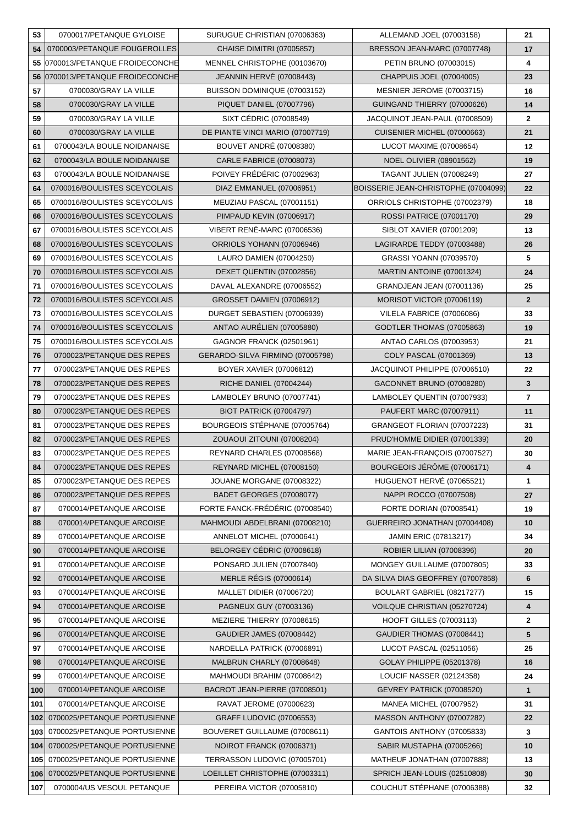| 53  | 0700017/PETANQUE GYLOISE      | SURUGUE CHRISTIAN (07006363)       | ALLEMAND JOEL (07003158)             | 21             |
|-----|-------------------------------|------------------------------------|--------------------------------------|----------------|
| 54  | 0700003/PETANQUE FOUGEROLLES  | <b>CHAISE DIMITRI (07005857)</b>   | BRESSON JEAN-MARC (07007748)         | 17             |
| 55  | 0700013/PETANQUE FROIDECONCHE | MENNEL CHRISTOPHE (00103670)       | PETIN BRUNO (07003015)               | 4              |
| 56  | 0700013/PETANQUE FROIDECONCHE | <b>JEANNIN HERVÉ (07008443)</b>    | CHAPPUIS JOEL (07004005)             | 23             |
| 57  | 0700030/GRAY LA VILLE         | BUISSON DOMINIQUE (07003152)       | MESNIER JEROME (07003715)            | 16             |
| 58  | 0700030/GRAY LA VILLE         | PIQUET DANIEL (07007796)           | GUINGAND THIERRY (07000626)          | 14             |
| 59  | 0700030/GRAY LA VILLE         | SIXT CÉDRIC (07008549)             | JACQUINOT JEAN-PAUL (07008509)       | $\mathbf{2}$   |
| 60  | 0700030/GRAY LA VILLE         | DE PIANTE VINCI MARIO (07007719)   | CUISENIER MICHEL (07000663)          | 21             |
| 61  | 0700043/LA BOULE NOIDANAISE   | <b>BOUVET ANDRE (07008380)</b>     | LUCOT MAXIME (07008654)              | 12             |
| 62  | 0700043/LA BOULE NOIDANAISE   | <b>CARLE FABRICE (07008073)</b>    | <b>NOEL OLIVIER (08901562)</b>       | 19             |
| 63  | 0700043/LA BOULE NOIDANAISE   | POIVEY FRÉDÉRIC (07002963)         | <b>TAGANT JULIEN (07008249)</b>      | 27             |
| 64  | 0700016/BOULISTES SCEYCOLAIS  | DIAZ EMMANUEL (07006951)           | BOISSERIE JEAN-CHRISTOPHE (07004099) | 22             |
| 65  | 0700016/BOULISTES SCEYCOLAIS  | MEUZIAU PASCAL (07001151)          | ORRIOLS CHRISTOPHE (07002379)        | 18             |
| 66  | 0700016/BOULISTES SCEYCOLAIS  | PIMPAUD KEVIN (07006917)           | <b>ROSSI PATRICE (07001170)</b>      | 29             |
| 67  | 0700016/BOULISTES SCEYCOLAIS  | <b>VIBERT RENÉ-MARC (07006536)</b> | SIBLOT XAVIER (07001209)             | 13             |
| 68  | 0700016/BOULISTES SCEYCOLAIS  | ORRIOLS YOHANN (07006946)          | LAGIRARDE TEDDY (07003488)           | 26             |
| 69  | 0700016/BOULISTES SCEYCOLAIS  | LAURO DAMIEN (07004250)            | GRASSI YOANN (07039570)              | 5              |
| 70  | 0700016/BOULISTES SCEYCOLAIS  | DEXET QUENTIN (07002856)           | MARTIN ANTOINE (07001324)            | 24             |
| 71  | 0700016/BOULISTES SCEYCOLAIS  | DAVAL ALEXANDRE (07006552)         | GRANDJEAN JEAN (07001136)            | 25             |
| 72  | 0700016/BOULISTES SCEYCOLAIS  | <b>GROSSET DAMIEN (07006912)</b>   | MORISOT VICTOR (07006119)            | $\overline{2}$ |
| 73  | 0700016/BOULISTES SCEYCOLAIS  | DURGET SEBASTIEN (07006939)        | VILELA FABRICE (07006086)            | 33             |
| 74  | 0700016/BOULISTES SCEYCOLAIS  | ANTAO AURÉLIEN (07005880)          | <b>GODTLER THOMAS (07005863)</b>     | 19             |
| 75  | 0700016/BOULISTES SCEYCOLAIS  | GAGNOR FRANCK (02501961)           | ANTAO CARLOS (07003953)              | 21             |
| 76  | 0700023/PETANQUE DES REPES    | GERARDO-SILVA FIRMINO (07005798)   | COLY PASCAL (07001369)               | 13             |
| 77  | 0700023/PETANQUE DES REPES    | BOYER XAVIER (07006812)            | JACQUINOT PHILIPPE (07006510)        | 22             |
| 78  | 0700023/PETANQUE DES REPES    | RICHE DANIEL (07004244)            | GACONNET BRUNO (07008280)            | 3              |
| 79  | 0700023/PETANQUE DES REPES    | LAMBOLEY BRUNO (07007741)          | LAMBOLEY QUENTIN (07007933)          | $\overline{7}$ |
| 80  | 0700023/PETANQUE DES REPES    | <b>BIOT PATRICK (07004797)</b>     | PAUFERT MARC (07007911)              | 11             |
| 81  | 0700023/PETANQUE DES REPES    | BOURGEOIS STÉPHANE (07005764)      | GRANGEOT FLORIAN (07007223)          | 31             |
| 82  | 0700023/PETANQUE DES REPES    | ZOUAOUI ZITOUNI (07008204)         | PRUD'HOMME DIDIER (07001339)         | 20             |
| 83  | 0700023/PETANQUE DES REPES    | REYNARD CHARLES (07008568)         | MARIE JEAN-FRANÇOIS (07007527)       | 30             |
| 84  | 0700023/PETANQUE DES REPES    | REYNARD MICHEL (07008150)          | BOURGEOIS JÉRÔME (07006171)          | 4              |
| 85  | 0700023/PETANQUE DES REPES    | JOUANE MORGANE (07008322)          | HUGUENOT HERVE (07065521)            | 1              |
| 86  | 0700023/PETANQUE DES REPES    | <b>BADET GEORGES (07008077)</b>    | NAPPI ROCCO (07007508)               | 27             |
| 87  | 0700014/PETANQUE ARCOISE      | FORTE FANCK-FRÉDÉRIC (07008540)    | FORTE DORIAN (07008541)              | 19             |
| 88  | 0700014/PETANQUE ARCOISE      | MAHMOUDI ABDELBRANI (07008210)     | GUERREIRO JONATHAN (07004408)        | 10             |
| 89  | 0700014/PETANQUE ARCOISE      | ANNELOT MICHEL (07000641)          | <b>JAMIN ERIC (07813217)</b>         | 34             |
| 90  | 0700014/PETANQUE ARCOISE      | BELORGEY CÉDRIC (07008618)         | <b>ROBIER LILIAN (07008396)</b>      | 20             |
| 91  | 0700014/PETANQUE ARCOISE      | PONSARD JULIEN (07007840)          | MONGEY GUILLAUME (07007805)          | 33             |
| 92  | 0700014/PETANQUE ARCOISE      | <b>MERLE RÉGIS (07000614)</b>      | DA SILVA DIAS GEOFFREY (07007858)    | 6              |
| 93  | 0700014/PETANQUE ARCOISE      | MALLET DIDIER (07006720)           | BOULART GABRIEL (08217277)           | 15             |
| 94  | 0700014/PETANQUE ARCOISE      | PAGNEUX GUY (07003136)             | VOILQUE CHRISTIAN (05270724)         | 4              |
| 95  | 0700014/PETANQUE ARCOISE      | MEZIERE THIERRY (07008615)         | <b>HOOFT GILLES (07003113)</b>       | $\mathbf{2}$   |
| 96  | 0700014/PETANQUE ARCOISE      | <b>GAUDIER JAMES (07008442)</b>    | GAUDIER THOMAS (07008441)            | 5              |
| 97  | 0700014/PETANQUE ARCOISE      | NARDELLA PATRICK (07006891)        | LUCOT PASCAL (02511056)              | 25             |
| 98  | 0700014/PETANQUE ARCOISE      | MALBRUN CHARLY (07008648)          | GOLAY PHILIPPE (05201378)            | 16             |
| 99  | 0700014/PETANQUE ARCOISE      | MAHMOUDI BRAHIM (07008642)         | LOUCIF NASSER (02124358)             | 24             |
| 100 | 0700014/PETANQUE ARCOISE      | BACROT JEAN-PIERRE (07008501)      | GEVREY PATRICK (07008520)            | $\mathbf{1}$   |
| 101 | 0700014/PETANQUE ARCOISE      | RAVAT JEROME (07000623)            | <b>MANEA MICHEL (07007952)</b>       | 31             |
| 102 | 0700025/PETANQUE PORTUSIENNE  | GRAFF LUDOVIC (07006553)           | MASSON ANTHONY (07007282)            | 22             |
| 103 | 0700025/PETANQUE PORTUSIENNE  | BOUVERET GUILLAUME (07008611)      | GANTOIS ANTHONY (07005833)           | 3              |
| 104 | 0700025/PETANQUE PORTUSIENNE  | NOIROT FRANCK (07006371)           | SABIR MUSTAPHA (07005266)            | 10             |
| 105 | 0700025/PETANQUE PORTUSIENNE  | TERRASSON LUDOVIC (07005701)       | MATHEUF JONATHAN (07007888)          | 13             |
| 106 | 0700025/PETANQUE PORTUSIENNE  | LOEILLET CHRISTOPHE (07003311)     | SPRICH JEAN-LOUIS (02510808)         | 30             |
| 107 | 0700004/US VESOUL PETANQUE    | PEREIRA VICTOR (07005810)          | COUCHUT STÉPHANE (07006388)          | 32             |